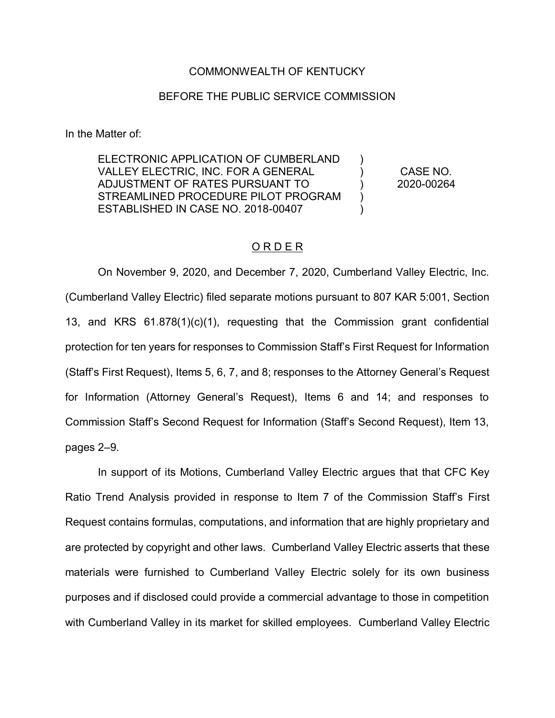## COMMONWEALTH OF KENTUCKY

## BEFORE THE PUBLIC SERVICE COMMISSION

In the Matter of:

ELECTRONIC APPLICATION OF CUMBERLAND VALLEY ELECTRIC, INC. FOR A GENERAL ADJUSTMENT OF RATES PURSUANT TO STREAMLINED PROCEDURE PILOT PROGRAM ESTABLISHED IN CASE NO. 2018-00407

CASE NO. 2020-00264

)  $\lambda$ ) ) )

## O R D E R

On November 9, 2020, and December 7, 2020, Cumberland Valley Electric, Inc. (Cumberland Valley Electric) filed separate motions pursuant to 807 KAR 5:001, Section 13, and KRS 61.878(1)(c)(1), requesting that the Commission grant confidential protection for ten years for responses to Commission Staff's First Request for Information (Staff's First Request), Items 5, 6, 7, and 8; responses to the Attorney General's Request for Information (Attorney General's Request), Items 6 and 14; and responses to Commission Staff's Second Request for Information (Staff's Second Request), Item 13, pages 2–9.

In support of its Motions, Cumberland Valley Electric argues that that CFC Key Ratio Trend Analysis provided in response to Item 7 of the Commission Staff's First Request contains formulas, computations, and information that are highly proprietary and are protected by copyright and other laws. Cumberland Valley Electric asserts that these materials were furnished to Cumberland Valley Electric solely for its own business purposes and if disclosed could provide a commercial advantage to those in competition with Cumberland Valley in its market for skilled employees. Cumberland Valley Electric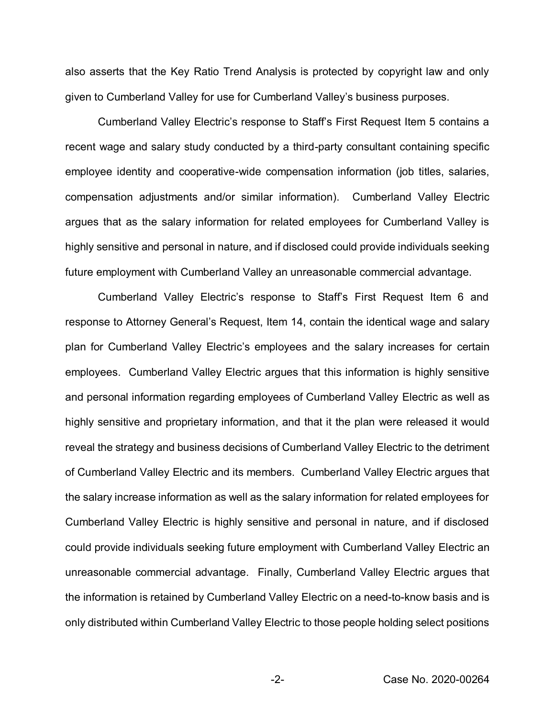also asserts that the Key Ratio Trend Analysis is protected by copyright law and only given to Cumberland Valley for use for Cumberland Valley's business purposes.

Cumberland Valley Electric's response to Staff's First Request Item 5 contains a recent wage and salary study conducted by a third-party consultant containing specific employee identity and cooperative-wide compensation information (job titles, salaries, compensation adjustments and/or similar information). Cumberland Valley Electric argues that as the salary information for related employees for Cumberland Valley is highly sensitive and personal in nature, and if disclosed could provide individuals seeking future employment with Cumberland Valley an unreasonable commercial advantage.

Cumberland Valley Electric's response to Staff's First Request Item 6 and response to Attorney General's Request, Item 14, contain the identical wage and salary plan for Cumberland Valley Electric's employees and the salary increases for certain employees. Cumberland Valley Electric argues that this information is highly sensitive and personal information regarding employees of Cumberland Valley Electric as well as highly sensitive and proprietary information, and that it the plan were released it would reveal the strategy and business decisions of Cumberland Valley Electric to the detriment of Cumberland Valley Electric and its members. Cumberland Valley Electric argues that the salary increase information as well as the salary information for related employees for Cumberland Valley Electric is highly sensitive and personal in nature, and if disclosed could provide individuals seeking future employment with Cumberland Valley Electric an unreasonable commercial advantage. Finally, Cumberland Valley Electric argues that the information is retained by Cumberland Valley Electric on a need-to-know basis and is only distributed within Cumberland Valley Electric to those people holding select positions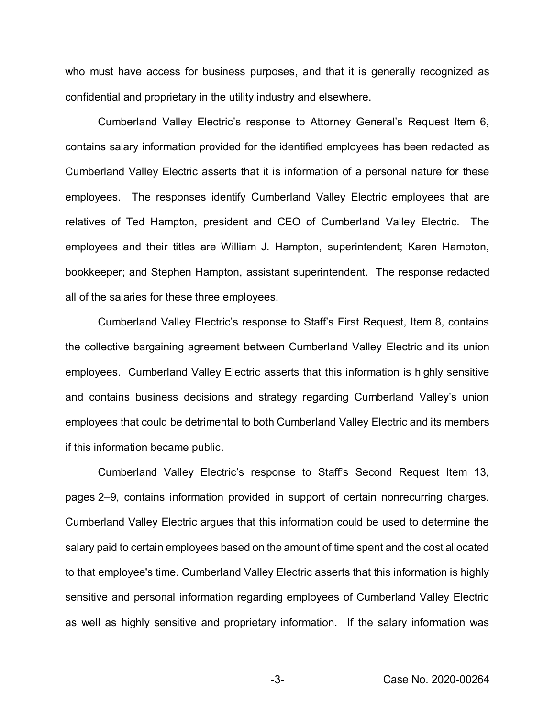who must have access for business purposes, and that it is generally recognized as confidential and proprietary in the utility industry and elsewhere.

Cumberland Valley Electric's response to Attorney General's Request Item 6, contains salary information provided for the identified employees has been redacted as Cumberland Valley Electric asserts that it is information of a personal nature for these employees. The responses identify Cumberland Valley Electric employees that are relatives of Ted Hampton, president and CEO of Cumberland Valley Electric. The employees and their titles are William J. Hampton, superintendent; Karen Hampton, bookkeeper; and Stephen Hampton, assistant superintendent. The response redacted all of the salaries for these three employees.

Cumberland Valley Electric's response to Staff's First Request, Item 8, contains the collective bargaining agreement between Cumberland Valley Electric and its union employees. Cumberland Valley Electric asserts that this information is highly sensitive and contains business decisions and strategy regarding Cumberland Valley's union employees that could be detrimental to both Cumberland Valley Electric and its members if this information became public.

Cumberland Valley Electric's response to Staff's Second Request Item 13, pages 2–9, contains information provided in support of certain nonrecurring charges. Cumberland Valley Electric argues that this information could be used to determine the salary paid to certain employees based on the amount of time spent and the cost allocated to that employee's time. Cumberland Valley Electric asserts that this information is highly sensitive and personal information regarding employees of Cumberland Valley Electric as well as highly sensitive and proprietary information. If the salary information was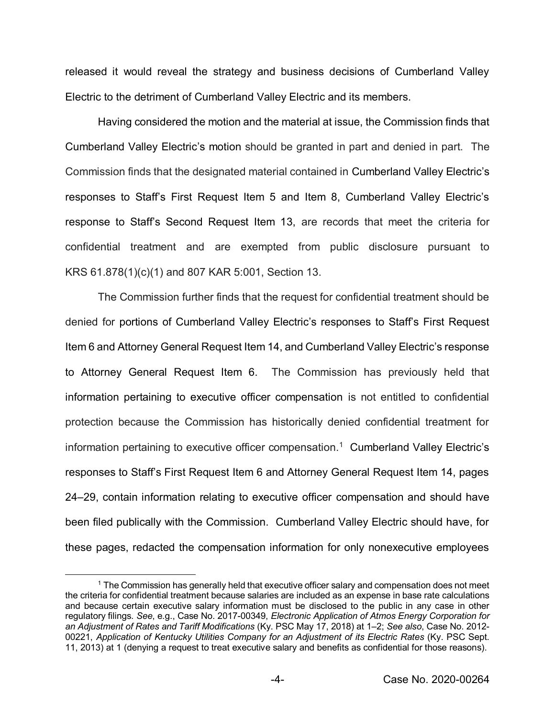released it would reveal the strategy and business decisions of Cumberland Valley Electric to the detriment of Cumberland Valley Electric and its members.

Having considered the motion and the material at issue, the Commission finds that Cumberland Valley Electric's motion should be granted in part and denied in part. The Commission finds that the designated material contained in Cumberland Valley Electric's responses to Staff's First Request Item 5 and Item 8, Cumberland Valley Electric's response to Staff's Second Request Item 13, are records that meet the criteria for confidential treatment and are exempted from public disclosure pursuant to KRS 61.878(1)(c)(1) and 807 KAR 5:001, Section 13.

The Commission further finds that the request for confidential treatment should be denied for portions of Cumberland Valley Electric's responses to Staff's First Request Item 6 and Attorney General Request Item 14, and Cumberland Valley Electric's response to Attorney General Request Item 6. The Commission has previously held that information pertaining to executive officer compensation is not entitled to confidential protection because the Commission has historically denied confidential treatment for information pertaining to executive officer compensation.<sup>1</sup> Cumberland Valley Electric's responses to Staff's First Request Item 6 and Attorney General Request Item 14, pages 24–29, contain information relating to executive officer compensation and should have been filed publically with the Commission. Cumberland Valley Electric should have, for these pages, redacted the compensation information for only nonexecutive employees

<sup>&</sup>lt;sup>1</sup> The Commission has generally held that executive officer salary and compensation does not meet the criteria for confidential treatment because salaries are included as an expense in base rate calculations and because certain executive salary information must be disclosed to the public in any case in other regulatory filings. *See*, e.g., Case No. 2017-00349, *Electronic Application of Atmos Energy Corporation for an Adjustment of Rates and Tariff Modifications* (Ky. PSC May 17, 2018) at 1–2; *See also*, Case No. 2012- 00221, *Application of Kentucky Utilities Company for an Adjustment of its Electric Rates* (Ky. PSC Sept. 11, 2013) at 1 (denying a request to treat executive salary and benefits as confidential for those reasons).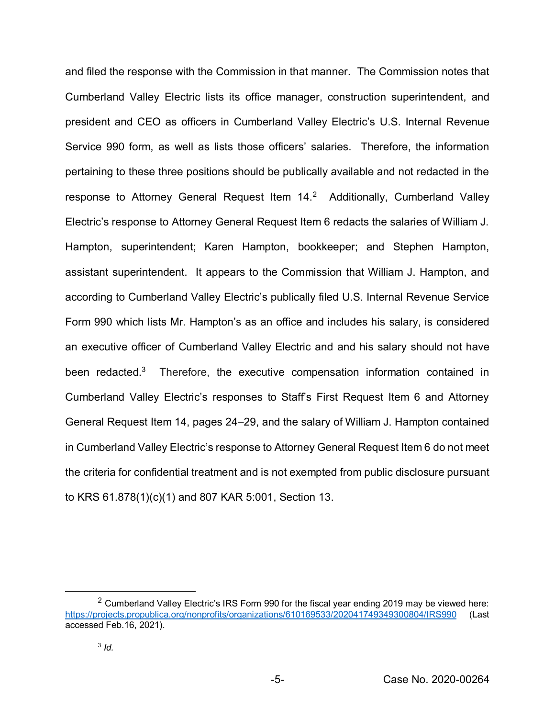and filed the response with the Commission in that manner. The Commission notes that Cumberland Valley Electric lists its office manager, construction superintendent, and president and CEO as officers in Cumberland Valley Electric's U.S. Internal Revenue Service 990 form, as well as lists those officers' salaries. Therefore, the information pertaining to these three positions should be publically available and not redacted in the response to Attorney General Request Item 14.<sup>2</sup> Additionally, Cumberland Valley Electric's response to Attorney General Request Item 6 redacts the salaries of William J. Hampton, superintendent; Karen Hampton, bookkeeper; and Stephen Hampton, assistant superintendent. It appears to the Commission that William J. Hampton, and according to Cumberland Valley Electric's publically filed U.S. Internal Revenue Service Form 990 which lists Mr. Hampton's as an office and includes his salary, is considered an executive officer of Cumberland Valley Electric and and his salary should not have been redacted.<sup>3</sup> Therefore, the executive compensation information contained in Cumberland Valley Electric's responses to Staff's First Request Item 6 and Attorney General Request Item 14, pages 24–29, and the salary of William J. Hampton contained in Cumberland Valley Electric's response to Attorney General Request Item 6 do not meet the criteria for confidential treatment and is not exempted from public disclosure pursuant to KRS 61.878(1)(c)(1) and 807 KAR 5:001, Section 13.

<sup>&</sup>lt;sup>2</sup> Cumberland Valley Electric's IRS Form 990 for the fiscal year ending 2019 may be viewed here: https://projects.propublica.org/nonprofits/organizations/610169533/202041749349300804/IRS990 (Last accessed Feb.16, 2021).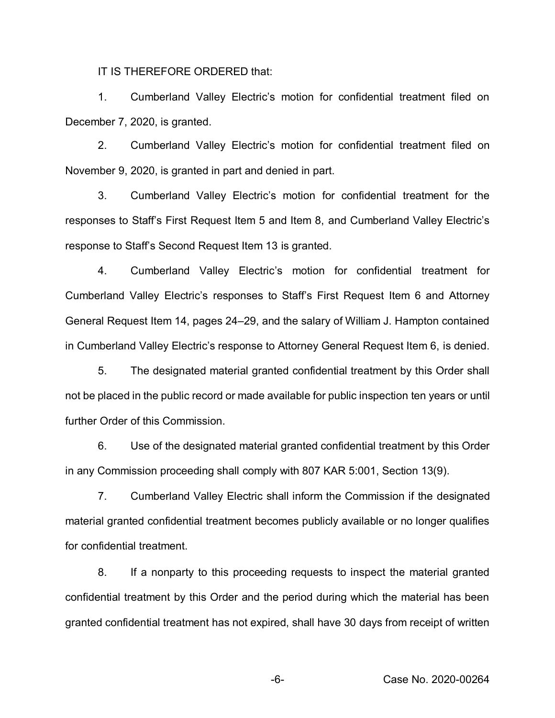IT IS THEREFORE ORDERED that:

1. Cumberland Valley Electric's motion for confidential treatment filed on December 7, 2020, is granted.

2. Cumberland Valley Electric's motion for confidential treatment filed on November 9, 2020, is granted in part and denied in part.

3. Cumberland Valley Electric's motion for confidential treatment for the responses to Staff's First Request Item 5 and Item 8, and Cumberland Valley Electric's response to Staff's Second Request Item 13 is granted.

4. Cumberland Valley Electric's motion for confidential treatment for Cumberland Valley Electric's responses to Staff's First Request Item 6 and Attorney General Request Item 14, pages 24–29, and the salary of William J. Hampton contained in Cumberland Valley Electric's response to Attorney General Request Item 6, is denied.

5. The designated material granted confidential treatment by this Order shall not be placed in the public record or made available for public inspection ten years or until further Order of this Commission.

6. Use of the designated material granted confidential treatment by this Order in any Commission proceeding shall comply with 807 KAR 5:001, Section 13(9).

7. Cumberland Valley Electric shall inform the Commission if the designated material granted confidential treatment becomes publicly available or no longer qualifies for confidential treatment.

8. If a nonparty to this proceeding requests to inspect the material granted confidential treatment by this Order and the period during which the material has been granted confidential treatment has not expired, shall have 30 days from receipt of written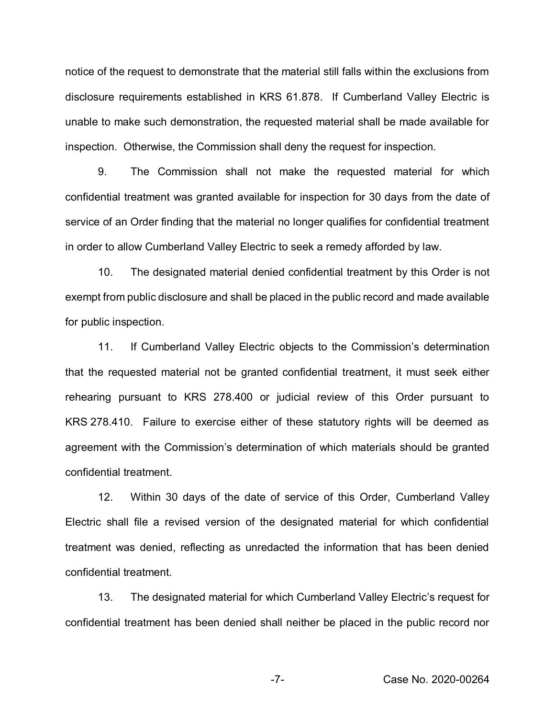notice of the request to demonstrate that the material still falls within the exclusions from disclosure requirements established in KRS 61.878. If Cumberland Valley Electric is unable to make such demonstration, the requested material shall be made available for inspection. Otherwise, the Commission shall deny the request for inspection.

9. The Commission shall not make the requested material for which confidential treatment was granted available for inspection for 30 days from the date of service of an Order finding that the material no longer qualifies for confidential treatment in order to allow Cumberland Valley Electric to seek a remedy afforded by law.

10. The designated material denied confidential treatment by this Order is not exempt from public disclosure and shall be placed in the public record and made available for public inspection.

11. If Cumberland Valley Electric objects to the Commission's determination that the requested material not be granted confidential treatment, it must seek either rehearing pursuant to KRS 278.400 or judicial review of this Order pursuant to KRS 278.410. Failure to exercise either of these statutory rights will be deemed as agreement with the Commission's determination of which materials should be granted confidential treatment.

12. Within 30 days of the date of service of this Order, Cumberland Valley Electric shall file a revised version of the designated material for which confidential treatment was denied, reflecting as unredacted the information that has been denied confidential treatment.

13. The designated material for which Cumberland Valley Electric's request for confidential treatment has been denied shall neither be placed in the public record nor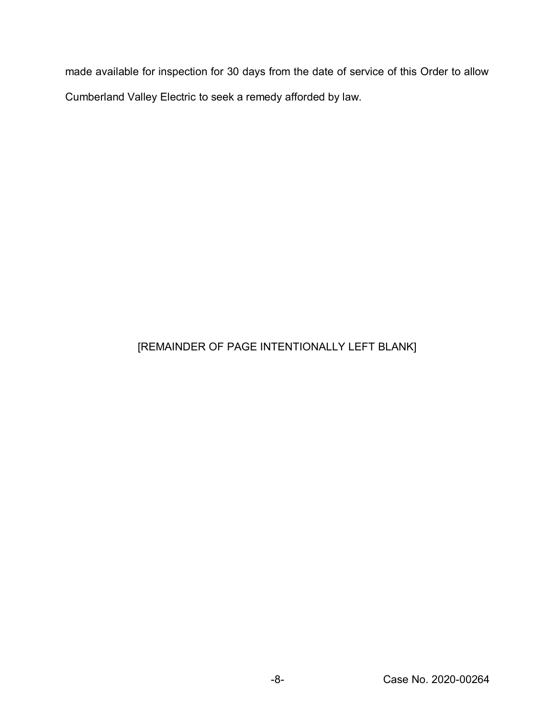made available for inspection for 30 days from the date of service of this Order to allow Cumberland Valley Electric to seek a remedy afforded by law.

## [REMAINDER OF PAGE INTENTIONALLY LEFT BLANK]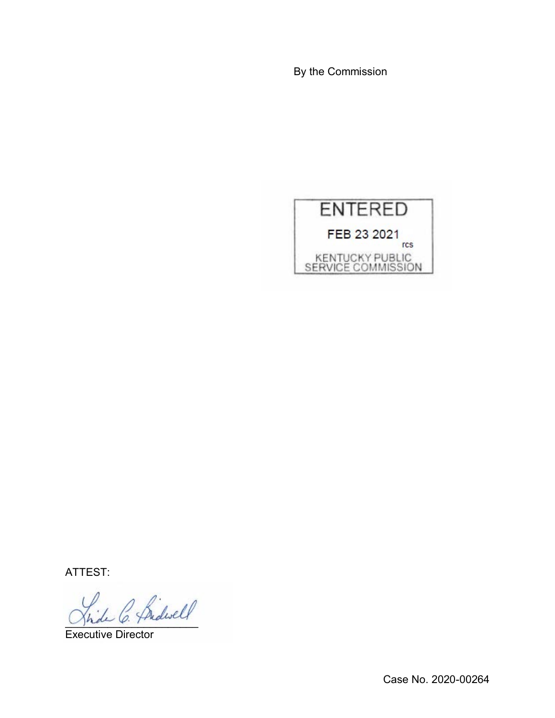By the Commission



ATTEST:

\_\_\_\_\_\_\_\_\_\_\_\_\_\_\_\_\_\_\_\_\_\_

Executive Director

Case No. 2020-00264